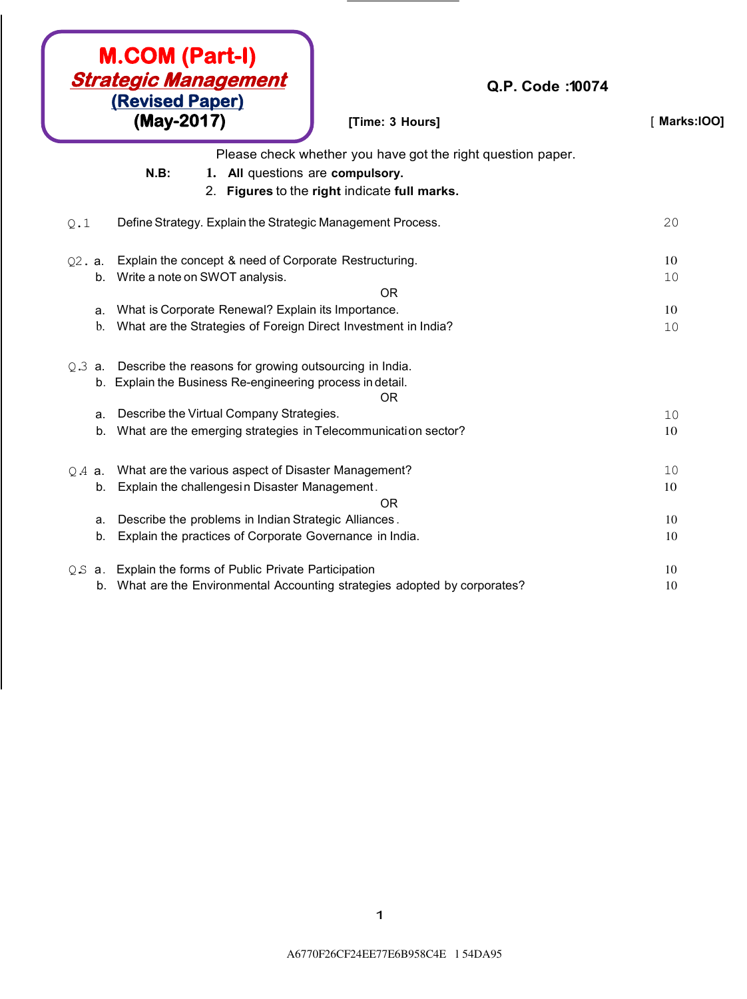| <b>M.COM (Part-I)</b><br><b>Strategic Management</b><br>(Revised Paper) | Q.P. Code: 10074                                                           |               |
|-------------------------------------------------------------------------|----------------------------------------------------------------------------|---------------|
| (May-2017)                                                              | [Time: 3 Hours]                                                            | [ Marks: 100] |
|                                                                         | Please check whether you have got the right question paper.                |               |
| $N.B$ :<br>1. All questions are compulsory.                             |                                                                            |               |
|                                                                         | 2. Figures to the right indicate full marks.                               |               |
| Define Strategy. Explain the Strategic Management Process.<br>Q.1       |                                                                            | 20            |
| Explain the concept & need of Corporate Restructuring.<br>Q2. a.        |                                                                            | 10            |
| b. Write a note on SWOT analysis.                                       |                                                                            | 10            |
|                                                                         | <b>OR</b>                                                                  |               |
| What is Corporate Renewal? Explain its Importance.<br>a.                |                                                                            | 10            |
| What are the Strategies of Foreign Direct Investment in India?<br>b.    |                                                                            | 10            |
| Describe the reasons for growing outsourcing in India.<br>$Q.3$ a.      |                                                                            |               |
| b. Explain the Business Re-engineering process in detail.               |                                                                            |               |
|                                                                         | <b>OR</b>                                                                  |               |
| Describe the Virtual Company Strategies.<br>a.                          |                                                                            | 10            |
| What are the emerging strategies in Telecommunication sector?<br>b.     |                                                                            | 10            |
| $Q.A$ a.                                                                | What are the various aspect of Disaster Management?                        |               |
| Explain the challengesin Disaster Management.<br>b.                     |                                                                            | 10            |
|                                                                         | 0 <sub>R</sub>                                                             |               |
| Describe the problems in Indian Strategic Alliances.<br>a.              |                                                                            | 10            |
| Explain the practices of Corporate Governance in India.<br>b.           |                                                                            | 10            |
| Q.S a. Explain the forms of Public Private Participation                |                                                                            | 10            |
|                                                                         | b. What are the Environmental Accounting strategies adopted by corporates? | 10            |

 $\overline{\phantom{a}}$